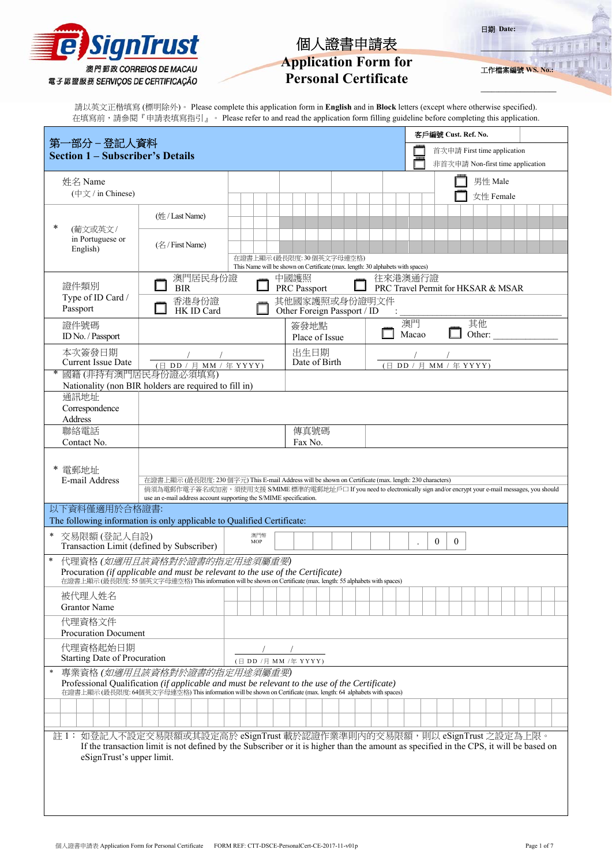|  | <b>e SignTrust</b>                                        |  |
|--|-----------------------------------------------------------|--|
|  | 澳門郵政 CORREIOS DE MACAU<br>電子認證服務 SERVIÇOS DE CERTIFICAÇÃO |  |

# **Application Form for**

# **Personal Certificate**

**\_\_\_\_\_\_\_\_\_\_\_\_\_\_\_\_\_\_\_\_**  工作檔案編號 WS.

**\_\_\_\_\_\_\_\_\_\_\_\_\_\_\_\_\_\_\_\_\_**

日期 **Date:** 

請以英文正楷填寫 (標明除外)。 Please complete this application form in **English** and in **Block** letters (except where otherwise specified). 在填寫前,請參閱『申請表填寫指引』。 Please refer to and read the application form filling guideline before completing this application.

| 第一部分 - 登記人資料                                                                                                                                                                                                    |                                                                                                                                                                                                                                  |                                                                                                            |  |              |                             |  |  |               |         |                | 客戶編號 Cust. Ref. No.                |        |           |  |  |  |
|-----------------------------------------------------------------------------------------------------------------------------------------------------------------------------------------------------------------|----------------------------------------------------------------------------------------------------------------------------------------------------------------------------------------------------------------------------------|------------------------------------------------------------------------------------------------------------|--|--------------|-----------------------------|--|--|---------------|---------|----------------|------------------------------------|--------|-----------|--|--|--|
| <b>Section 1 - Subscriber's Details</b>                                                                                                                                                                         |                                                                                                                                                                                                                                  |                                                                                                            |  |              |                             |  |  |               |         |                | 首次申請 First time application        |        |           |  |  |  |
|                                                                                                                                                                                                                 |                                                                                                                                                                                                                                  |                                                                                                            |  |              |                             |  |  |               |         |                | 非首次申請 Non-first time application   |        |           |  |  |  |
| 姓名 Name                                                                                                                                                                                                         |                                                                                                                                                                                                                                  |                                                                                                            |  |              |                             |  |  |               |         |                |                                    |        | 男性 Male   |  |  |  |
| (中文 / in Chinese)                                                                                                                                                                                               |                                                                                                                                                                                                                                  |                                                                                                            |  |              |                             |  |  |               |         |                |                                    |        | 女性 Female |  |  |  |
|                                                                                                                                                                                                                 | (姓 / Last Name)                                                                                                                                                                                                                  |                                                                                                            |  |              |                             |  |  |               |         |                |                                    |        |           |  |  |  |
| ∗<br>(葡文或英文/                                                                                                                                                                                                    |                                                                                                                                                                                                                                  |                                                                                                            |  |              |                             |  |  |               |         |                |                                    |        |           |  |  |  |
| in Portuguese or<br>English)                                                                                                                                                                                    | $(\angle 7$ First Name)                                                                                                                                                                                                          |                                                                                                            |  |              |                             |  |  |               |         |                |                                    |        |           |  |  |  |
|                                                                                                                                                                                                                 |                                                                                                                                                                                                                                  | 在證書上顯示(最長限度: 30個英文字母連空格)<br>This Name will be shown on Certificate (max. length: 30 alphabets with spaces) |  |              |                             |  |  |               |         |                |                                    |        |           |  |  |  |
|                                                                                                                                                                                                                 | 澳門居民身份證                                                                                                                                                                                                                          |                                                                                                            |  | 中國護照         |                             |  |  |               | 往來港澳通行證 |                |                                    |        |           |  |  |  |
| 證件類別<br>Type of ID Card /                                                                                                                                                                                       | <b>BIR</b><br>香港身份證                                                                                                                                                                                                              |                                                                                                            |  | PRC Passport |                             |  |  | 其他國家護照或身份證明文件 |         |                | PRC Travel Permit for HKSAR & MSAR |        |           |  |  |  |
| Passport                                                                                                                                                                                                        | HK ID Card                                                                                                                                                                                                                       |                                                                                                            |  |              | Other Foreign Passport / ID |  |  |               |         |                |                                    |        |           |  |  |  |
| 證件號碼                                                                                                                                                                                                            |                                                                                                                                                                                                                                  |                                                                                                            |  | 簽發地點         |                             |  |  |               | 澳門      |                |                                    | 其他     |           |  |  |  |
| ID No. / Passport                                                                                                                                                                                               |                                                                                                                                                                                                                                  |                                                                                                            |  |              | Place of Issue              |  |  |               | Macao   |                |                                    | Other: |           |  |  |  |
| 本次簽發日期<br>Current Issue Date                                                                                                                                                                                    |                                                                                                                                                                                                                                  |                                                                                                            |  |              | 出生日期<br>Date of Birth       |  |  |               |         |                |                                    |        |           |  |  |  |
|                                                                                                                                                                                                                 | (日 DD / 月 MM / 年 YYYY)<br>國籍(非持有澳門居民身份證必須填寫)                                                                                                                                                                                     |                                                                                                            |  |              |                             |  |  |               |         |                | (日 DD / 月 MM / 年 YYYY)             |        |           |  |  |  |
|                                                                                                                                                                                                                 | Nationality (non BIR holders are required to fill in)                                                                                                                                                                            |                                                                                                            |  |              |                             |  |  |               |         |                |                                    |        |           |  |  |  |
| 通訊地址<br>Correspondence                                                                                                                                                                                          |                                                                                                                                                                                                                                  |                                                                                                            |  |              |                             |  |  |               |         |                |                                    |        |           |  |  |  |
| <b>Address</b>                                                                                                                                                                                                  |                                                                                                                                                                                                                                  |                                                                                                            |  |              |                             |  |  |               |         |                |                                    |        |           |  |  |  |
| 聯絡電話                                                                                                                                                                                                            |                                                                                                                                                                                                                                  |                                                                                                            |  |              | 傳真號碼                        |  |  |               |         |                |                                    |        |           |  |  |  |
| Contact No.                                                                                                                                                                                                     |                                                                                                                                                                                                                                  |                                                                                                            |  | Fax No.      |                             |  |  |               |         |                |                                    |        |           |  |  |  |
| 電郵地址                                                                                                                                                                                                            |                                                                                                                                                                                                                                  |                                                                                                            |  |              |                             |  |  |               |         |                |                                    |        |           |  |  |  |
| E-mail Address                                                                                                                                                                                                  | 在證書上顯示 (最長限度: 230 個字元) This E-mail Address will be shown on Certificate (max. length: 230 characters)<br>倘須為電郵作電子簽名或加密,須使用支援 S/MIME 標準的電郵地址戶口 If you need to electronically sign and/or encrypt your e-mail messages, you should |                                                                                                            |  |              |                             |  |  |               |         |                |                                    |        |           |  |  |  |
|                                                                                                                                                                                                                 | use an e-mail address account supporting the S/MIME specification.                                                                                                                                                               |                                                                                                            |  |              |                             |  |  |               |         |                |                                    |        |           |  |  |  |
| 以下資料僅適用於合格證書:<br>The following information is only applicable to Qualified Certificate:                                                                                                                         |                                                                                                                                                                                                                                  |                                                                                                            |  |              |                             |  |  |               |         |                |                                    |        |           |  |  |  |
| * 交易限額(登記人自設)<br>澳門幣                                                                                                                                                                                            |                                                                                                                                                                                                                                  |                                                                                                            |  |              |                             |  |  |               |         |                |                                    |        |           |  |  |  |
| Transaction Limit (defined by Subscriber)                                                                                                                                                                       |                                                                                                                                                                                                                                  | MOP                                                                                                        |  |              |                             |  |  |               |         | $\overline{0}$ | $\overline{0}$                     |        |           |  |  |  |
| $\ast$                                                                                                                                                                                                          | 代理資格(如適用且該資格對於證書的指定用途須屬重要)<br>Procuration (if applicable and must be relevant to the use of the Certificate)                                                                                                                     |                                                                                                            |  |              |                             |  |  |               |         |                |                                    |        |           |  |  |  |
|                                                                                                                                                                                                                 | 在證書上顯示 (最長限度: 55 個英文字母連空格) This information will be shown on Certificate (max. length: 55 alphabets with spaces)                                                                                                                 |                                                                                                            |  |              |                             |  |  |               |         |                |                                    |        |           |  |  |  |
| 被代理人姓名                                                                                                                                                                                                          |                                                                                                                                                                                                                                  |                                                                                                            |  |              |                             |  |  |               |         |                |                                    |        |           |  |  |  |
| <b>Grantor Name</b>                                                                                                                                                                                             |                                                                                                                                                                                                                                  |                                                                                                            |  |              |                             |  |  |               |         |                |                                    |        |           |  |  |  |
| 代理資格文件<br><b>Procuration Document</b>                                                                                                                                                                           |                                                                                                                                                                                                                                  |                                                                                                            |  |              |                             |  |  |               |         |                |                                    |        |           |  |  |  |
| 代理資格起始日期                                                                                                                                                                                                        |                                                                                                                                                                                                                                  |                                                                                                            |  |              |                             |  |  |               |         |                |                                    |        |           |  |  |  |
| Starting Date of Procuration                                                                                                                                                                                    |                                                                                                                                                                                                                                  | (日 DD /月 MM /年 YYYY)                                                                                       |  |              |                             |  |  |               |         |                |                                    |        |           |  |  |  |
| 專業資格(如適用且該資格對於證書的指定用途須屬重要)<br>$\ast$<br>Professional Qualification (if applicable and must be relevant to the use of the Certificate)                                                                           |                                                                                                                                                                                                                                  |                                                                                                            |  |              |                             |  |  |               |         |                |                                    |        |           |  |  |  |
|                                                                                                                                                                                                                 | 在證書上顯示(最長限度: 64個英文字母連空格) This information will be shown on Certificate (max. length: 64 alphabets with spaces)                                                                                                                   |                                                                                                            |  |              |                             |  |  |               |         |                |                                    |        |           |  |  |  |
|                                                                                                                                                                                                                 |                                                                                                                                                                                                                                  |                                                                                                            |  |              |                             |  |  |               |         |                |                                    |        |           |  |  |  |
|                                                                                                                                                                                                                 |                                                                                                                                                                                                                                  |                                                                                                            |  |              |                             |  |  |               |         |                |                                    |        |           |  |  |  |
| 註1: 如登記人不設定交易限額或其設定高於 eSignTrust 載於認證作業準則内的交易限額,則以 eSignTrust 之設定為上限。<br>If the transaction limit is not defined by the Subscriber or it is higher than the amount as specified in the CPS, it will be based on |                                                                                                                                                                                                                                  |                                                                                                            |  |              |                             |  |  |               |         |                |                                    |        |           |  |  |  |
| eSignTrust's upper limit.                                                                                                                                                                                       |                                                                                                                                                                                                                                  |                                                                                                            |  |              |                             |  |  |               |         |                |                                    |        |           |  |  |  |
|                                                                                                                                                                                                                 |                                                                                                                                                                                                                                  |                                                                                                            |  |              |                             |  |  |               |         |                |                                    |        |           |  |  |  |
|                                                                                                                                                                                                                 |                                                                                                                                                                                                                                  |                                                                                                            |  |              |                             |  |  |               |         |                |                                    |        |           |  |  |  |
|                                                                                                                                                                                                                 |                                                                                                                                                                                                                                  |                                                                                                            |  |              |                             |  |  |               |         |                |                                    |        |           |  |  |  |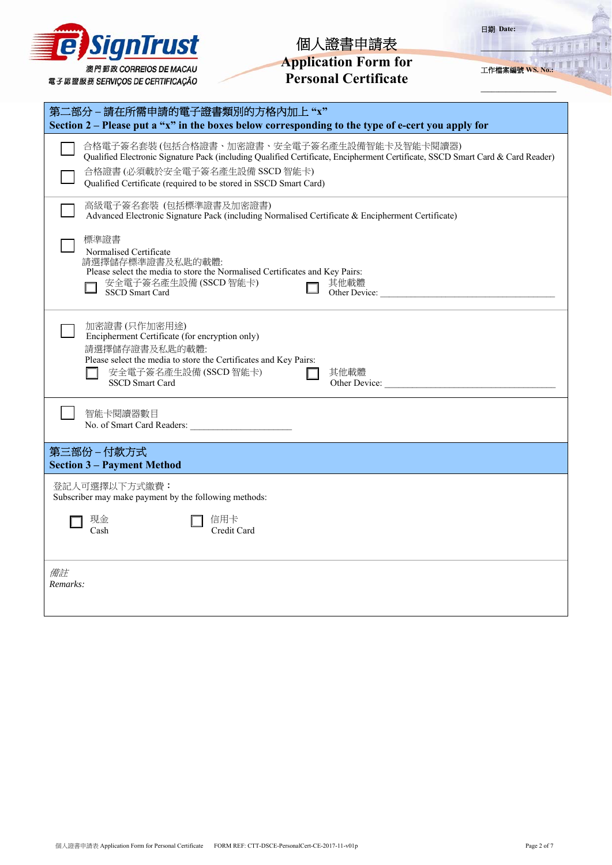| <b>E</b> SignTrust              |  |                        |  |
|---------------------------------|--|------------------------|--|
| 電子認證服務 SERVIÇOS DE CERTIFICAÇÃO |  | 澳門郵政 CORREIOS DE MACAU |  |

| <b>Application Form for</b> |
|-----------------------------|
| <b>Personal Certificate</b> |

工作檔案編號 **WS. No.:**

官官官

**\_\_\_\_\_\_\_\_\_\_\_\_\_\_\_\_\_\_\_\_\_**

| 第二部分-請在所需申請的電子證書類別的方格內加上"x"<br>Section $2$ – Please put a "x" in the boxes below corresponding to the type of e-cert you apply for                                                                                                                                                |  |  |  |  |  |
|-----------------------------------------------------------------------------------------------------------------------------------------------------------------------------------------------------------------------------------------------------------------------------------|--|--|--|--|--|
| 合格電子簽名套裝(包括合格證書、加密證書、安全電子簽名產生設備智能卡及智能卡閱讀器)<br>Qualified Electronic Signature Pack (including Qualified Certificate, Encipherment Certificate, SSCD Smart Card & Card Reader)<br>合格證書(必須載於安全電子簽名產生設備 SSCD 智能卡)<br>Qualified Certificate (required to be stored in SSCD Smart Card) |  |  |  |  |  |
| 高級電子簽名套裝 (包括標準證書及加密證書)<br>Advanced Electronic Signature Pack (including Normalised Certificate & Encipherment Certificate)                                                                                                                                                        |  |  |  |  |  |
| 標準證書<br>Normalised Certificate<br>請選擇儲存標準證書及私匙的載體:<br>Please select the media to store the Normalised Certificates and Key Pairs:<br>安全電子簽名產生設備(SSCD智能卡)<br>其他載體<br><b>SSCD</b> Smart Card                                                                                        |  |  |  |  |  |
| 加密證書(只作加密用途)<br>Encipherment Certificate (for encryption only)<br>請選擇儲存證書及私匙的載體:<br>Please select the media to store the Certificates and Key Pairs:<br>安全電子簽名產生設備(SSCD智能卡)<br>其他載體<br><b>SSCD Smart Card</b><br>Other Device:                                                    |  |  |  |  |  |
| 智能卡閱讀器數目<br>No. of Smart Card Readers:                                                                                                                                                                                                                                            |  |  |  |  |  |
| 第三部份-付款方式<br><b>Section 3 - Payment Method</b>                                                                                                                                                                                                                                    |  |  |  |  |  |
| 登記人可選擇以下方式繳費:<br>Subscriber may make payment by the following methods:                                                                                                                                                                                                            |  |  |  |  |  |
| 信用卡<br>現金<br>Credit Card<br>Cash                                                                                                                                                                                                                                                  |  |  |  |  |  |
| 備註<br>Remarks:                                                                                                                                                                                                                                                                    |  |  |  |  |  |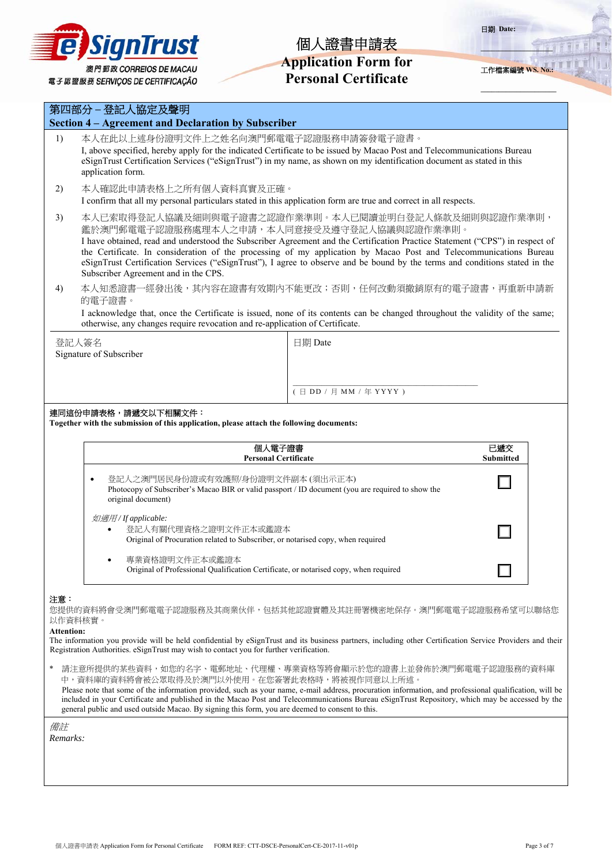

# **Application Form for Personal Certificate**

日期 **Date:** 

工作檔案編號 **WS. No.:**

**\_\_\_\_\_\_\_\_\_\_\_\_\_\_\_\_\_\_\_\_** 

**\_\_\_\_\_\_\_\_\_\_\_\_\_\_\_\_\_\_\_\_\_**

|                                                                                                                                                                                                                                                                                                                                                                                                                                                                                                                                     | 第四部分 - 登記人協定及聲明                                                                                                                                                                                                                                                                                                |                                                                                                                              |  |  |  |  |
|-------------------------------------------------------------------------------------------------------------------------------------------------------------------------------------------------------------------------------------------------------------------------------------------------------------------------------------------------------------------------------------------------------------------------------------------------------------------------------------------------------------------------------------|----------------------------------------------------------------------------------------------------------------------------------------------------------------------------------------------------------------------------------------------------------------------------------------------------------------|------------------------------------------------------------------------------------------------------------------------------|--|--|--|--|
| Section 4 – Agreement and Declaration by Subscriber                                                                                                                                                                                                                                                                                                                                                                                                                                                                                 |                                                                                                                                                                                                                                                                                                                |                                                                                                                              |  |  |  |  |
| 1)                                                                                                                                                                                                                                                                                                                                                                                                                                                                                                                                  | 本人在此以上述身份證明文件上之姓名向澳門郵電電子認證服務申請簽發電子證書。<br>I, above specified, hereby apply for the indicated Certificate to be issued by Macao Post and Telecommunications Bureau<br>eSignTrust Certification Services ("eSignTrust") in my name, as shown on my identification document as stated in this<br>application form. |                                                                                                                              |  |  |  |  |
| 2)                                                                                                                                                                                                                                                                                                                                                                                                                                                                                                                                  | 本人確認此申請表格上之所有個人資料真實及正確。<br>I confirm that all my personal particulars stated in this application form are true and correct in all respects.                                                                                                                                                                    |                                                                                                                              |  |  |  |  |
| 本人已索取得登記人協議及細則與電子證書之認證作業準則。本人已閱讀並明白登記人條款及細則與認證作業準則,<br>3)<br>鑑於澳門郵電電子認證服務處理本人之申請,本人同意接受及遵守登記人協議與認證作業準則。<br>I have obtained, read and understood the Subscriber Agreement and the Certification Practice Statement ("CPS") in respect of<br>the Certificate. In consideration of the processing of my application by Macao Post and Telecommunications Bureau<br>eSignTrust Certification Services ("eSignTrust"), I agree to observe and be bound by the terms and conditions stated in the<br>Subscriber Agreement and in the CPS. |                                                                                                                                                                                                                                                                                                                |                                                                                                                              |  |  |  |  |
| 4)                                                                                                                                                                                                                                                                                                                                                                                                                                                                                                                                  | 的電子證書。                                                                                                                                                                                                                                                                                                         | 本人知悉證書一經發出後,其內容在證書有效期內不能更改;否則,任何改動須撤銷原有的電子證書,再重新申請新                                                                          |  |  |  |  |
|                                                                                                                                                                                                                                                                                                                                                                                                                                                                                                                                     | otherwise, any changes require revocation and re-application of Certificate.                                                                                                                                                                                                                                   | I acknowledge that, once the Certificate is issued, none of its contents can be changed throughout the validity of the same; |  |  |  |  |
|                                                                                                                                                                                                                                                                                                                                                                                                                                                                                                                                     | 登記人簽名<br>Signature of Subscriber                                                                                                                                                                                                                                                                               | 日期 Date                                                                                                                      |  |  |  |  |
|                                                                                                                                                                                                                                                                                                                                                                                                                                                                                                                                     |                                                                                                                                                                                                                                                                                                                |                                                                                                                              |  |  |  |  |
|                                                                                                                                                                                                                                                                                                                                                                                                                                                                                                                                     |                                                                                                                                                                                                                                                                                                                | (日 DD / 月 MM / 年 YYYY)                                                                                                       |  |  |  |  |
|                                                                                                                                                                                                                                                                                                                                                                                                                                                                                                                                     | 連同這份申請表格,請遞交以下相關文件:                                                                                                                                                                                                                                                                                            |                                                                                                                              |  |  |  |  |
|                                                                                                                                                                                                                                                                                                                                                                                                                                                                                                                                     | Together with the submission of this application, please attach the following documents:                                                                                                                                                                                                                       |                                                                                                                              |  |  |  |  |
|                                                                                                                                                                                                                                                                                                                                                                                                                                                                                                                                     | 個人電子證書<br><b>Personal Certificate</b>                                                                                                                                                                                                                                                                          | 已遞交<br><b>Submitted</b>                                                                                                      |  |  |  |  |
|                                                                                                                                                                                                                                                                                                                                                                                                                                                                                                                                     | 登記人之澳門居民身份證或有效護照/身份證明文件副本(須出示正本)<br>$\bullet$<br>Photocopy of Subscriber's Macao BIR or valid passport / ID document (you are required to show the<br>original document)                                                                                                                                       |                                                                                                                              |  |  |  |  |
|                                                                                                                                                                                                                                                                                                                                                                                                                                                                                                                                     | 如適用/ If applicable:<br>登記人有關代理資格之證明文件正本或鑑證本<br>Original of Procuration related to Subscriber, or notarised copy, when required                                                                                                                                                                                 |                                                                                                                              |  |  |  |  |
|                                                                                                                                                                                                                                                                                                                                                                                                                                                                                                                                     | 專業資格證明文件正本或鑑證本<br>Original of Professional Qualification Certificate, or notarised copy, when required                                                                                                                                                                                                         |                                                                                                                              |  |  |  |  |
| 注意:<br>您提供的資料將會受澳門郵電電子認證服務及其商業伙伴,包括其他認證實體及其註冊署機密地保存。澳門郵電電子認證服務希望可以聯絡您<br>以作資料核實。<br><b>Attention:</b><br>The information you provide will be held confidential by eSignTrust and its business partners, including other Certification Service Providers and their<br>Registration Authorities. eSignTrust may wish to contact you for further verification.                                                                                                                                                                         |                                                                                                                                                                                                                                                                                                                |                                                                                                                              |  |  |  |  |
| 請注意所提供的某些資料,如您的名字、電郵地址、代理權、專業資格等將會顯示於您的證書上並發佈於澳門郵電電子認證服務的資料庫<br>中,資料庫的資料將會被公眾取得及於澳門以外使用。在您簽署此表格時,將被視作同意以上所述。<br>Please note that some of the information provided, such as your name, e-mail address, procuration information, and professional qualification, will be<br>included in your Certificate and published in the Macao Post and Telecommunications Bureau eSignTrust Repository, which may be accessed by the<br>general public and used outside Macao. By signing this form, you are deemed to consent to this.         |                                                                                                                                                                                                                                                                                                                |                                                                                                                              |  |  |  |  |
| 備註<br>Remarks:                                                                                                                                                                                                                                                                                                                                                                                                                                                                                                                      |                                                                                                                                                                                                                                                                                                                |                                                                                                                              |  |  |  |  |
|                                                                                                                                                                                                                                                                                                                                                                                                                                                                                                                                     |                                                                                                                                                                                                                                                                                                                |                                                                                                                              |  |  |  |  |
|                                                                                                                                                                                                                                                                                                                                                                                                                                                                                                                                     |                                                                                                                                                                                                                                                                                                                |                                                                                                                              |  |  |  |  |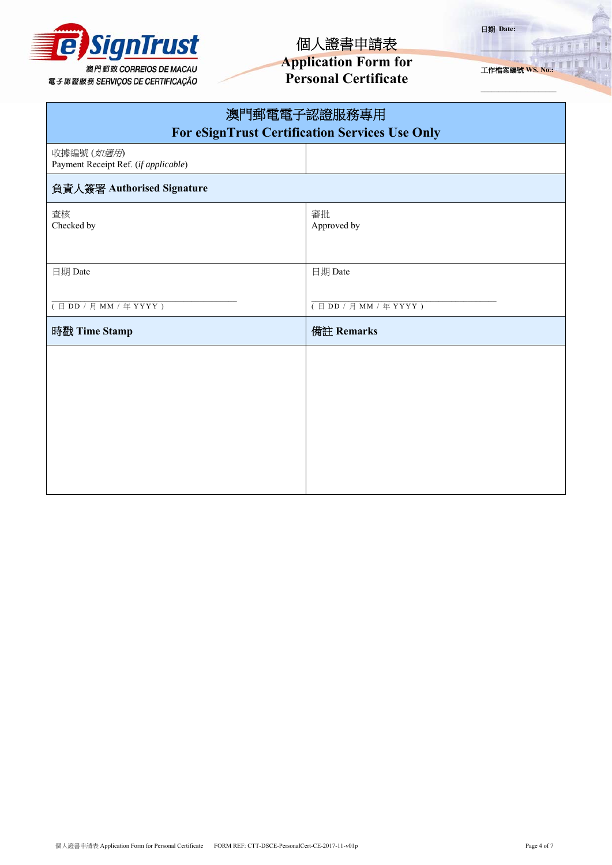

**Application Form for Personal Certificate** 

日期 **Date:** 

工作檔案編號 **WS. No.:**

**\_\_\_\_\_\_\_\_\_\_\_\_\_\_\_\_\_\_\_\_** 

**\_\_\_\_\_\_\_\_\_\_\_\_\_\_\_\_\_\_\_\_\_**

| 澳門郵電電子認證服務專用<br><b>For eSignTrust Certification Services Use Only</b> |                                              |  |  |  |  |  |
|-----------------------------------------------------------------------|----------------------------------------------|--|--|--|--|--|
| 收據編號 (如適用)<br>Payment Receipt Ref. (if applicable)                    |                                              |  |  |  |  |  |
| 負責人簽署 Authorised Signature                                            |                                              |  |  |  |  |  |
| 查核<br>Checked by                                                      | 審批<br>Approved by                            |  |  |  |  |  |
| 日期 Date                                                               | 日期 Date                                      |  |  |  |  |  |
| $(\exists DD / \exists MM / \# YYYY)$                                 | $(\exists DD / \exists MM / \text{# } YYYY)$ |  |  |  |  |  |
| 時戳 Time Stamp                                                         | 備註 Remarks                                   |  |  |  |  |  |
|                                                                       |                                              |  |  |  |  |  |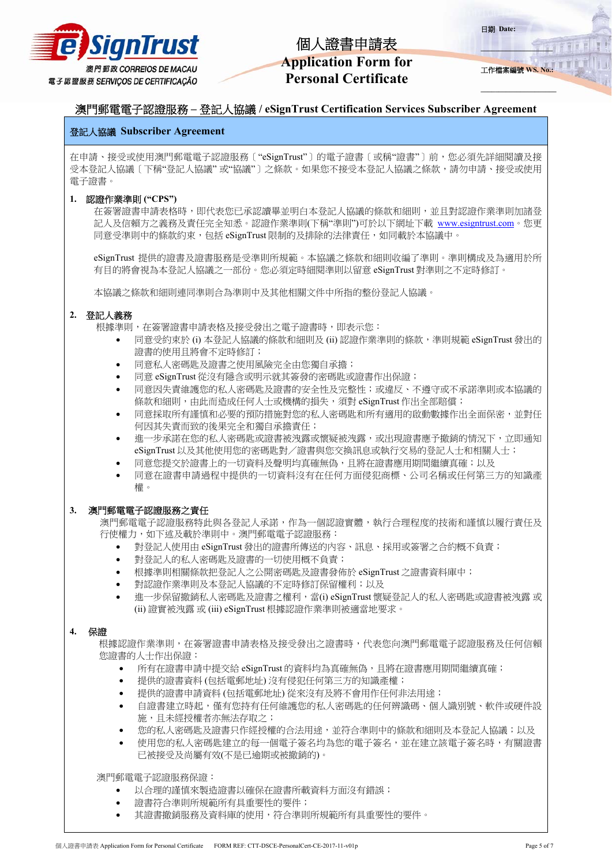

工作檔案編號 **WS. No.:**

**\_\_\_\_\_\_\_\_\_\_\_\_\_\_\_\_\_\_\_\_** 

**\_\_\_\_\_\_\_\_\_\_\_\_\_\_\_\_\_\_\_\_\_**

日期 **Date:** 

## 澳門郵電電子認證服務 **–** 登記人協議 **/ eSignTrust Certification Services Subscriber Agreement**

## 登記人協議 **Subscriber Agreement**

在申請、接受或使用澳門郵電電子認證服務〔"eSignTrust"〕的電子證書〔或稱"證書"〕前,您必須先詳細閱讀及接 受本登記人協議〔下稱"登記人協議" 或"協議"〕之條款。如果您不接受本登記人協議之條款,請勿申請、接受或使用 電子證書。

### **1.** 認證作業準則 **("CPS")**

在簽署證書申請表格時,即代表您已承認讀畢並明白本登記人協議的條款和細則,並且對認證作業準則加諸登 記人及信賴方之義務及責任完全知悉。認證作業準則(下稱"準則")可於以下網址下載 www.esigntrust.com。您更 同意受準則中的條款約束,包括 eSignTrust 限制的及排除的法律責任,如同載於本協議中。

eSignTrust 提供的證書及證書服務是受準則所規範。本協議之條款和細則收編了準則。準則構成及為適用於所 有目的將會視為本登記人協議之一部份。您必須定時細閱準則以留意 eSignTrust 對準則之不定時修訂。

本協議之條款和細則連同準則合為準則中及其他相關文件中所指的整份登記人協議。

## **2.** 登記人義務

根據準則,在簽署證書申請表格及接受發出之電子證書時,即表示您:

- 同意受約束於 (i) 本登記人協議的條款和細則及 (ii) 認證作業準則的條款,準則規範 eSignTrust 發出的 證書的使用且將會不定時修訂;
- 同意私人密碼匙及證書之使用風險完全由您獨自承擔;
- 同意 eSignTrust 從沒有隱含或明示就其簽發的密碼匙或證書作出保證;
- 同意因失責維護您的私人密碼匙及證書的安全性及完整性;或違反、不遵守或不承諾準則或本協議的 條款和細則,由此而造成任何人士或機構的損失,須對 eSignTrust 作出全部賠償;
- 同意採取所有謹慎和必要的預防措施對您的私人密碼匙和所有適用的啟動數據作出全面保密,並對任 何因其失責而致的後果完全和獨自承擔責任;
- 進一步承諾在您的私人密碼匙或證書被洩露或懷疑被洩露,或出現證書應予撤銷的情況下,立即通知 eSignTrust 以及其他使用您的密碼匙對/證書與您交換訊息或執行交易的登記人士和相關人士;
- 同意您提交於證書上的一切資料及聲明均真確無偽,且將在證書應用期間繼續真確;以及
- 同意在證書申請過程中提供的一切資料沒有在任何方面侵犯商標、公司名稱或任何第三方的知識產 權。

## **3.** 澳門郵電電子認證服務之責任

澳門郵電電子認證服務特此與各登記人承諾,作為一個認證實體,執行合理程度的技術和謹慎以履行責任及 行使權力,如下述及載於準則中。澳門郵電電子認證服務:

- 對登記人使用由 eSignTrust 發出的證書所傳送的內容、訊息、採用或簽署之合約概不負責;
- 對登記人的私人密碼匙及證書的一切使用概不負責;
- 根據準則相關條款把登記人之公開密碼匙及證書發佈於 eSignTrust 之證書資料庫中;
- 對認證作業準則及本登記人協議的不定時修訂保留權利;以及
- 進一步保留撤銷私人密碼匙及證書之權利,當(i) eSignTrust 懷疑登記人的私人密碼匙或證書被洩露 或 (ii) 證實被洩露 或 (iii) eSignTrust 根據認證作業準則被適當地要求。

## **4.** 保證

根據認證作業準則,在簽署證書申請表格及接受發出之證書時,代表您向澳門郵電電子認證服務及任何信賴 您證書的人士作出保證:

- 所有在證書申請中提交給 eSignTrust 的資料均為真確無偽,且將在證書應用期間繼續真確;
- 提供的證書資料 (包括電郵地址) 沒有侵犯任何第三方的知識產權;
- 提供的證書申請資料 (包括電郵地址) 從來沒有及將不會用作任何非法用途;
- 自證書建立時起,僅有您持有任何維護您的私人密碼匙的任何辨識碼、個人識別號、軟件或硬件設 施,且未經授權者亦無法存取之;
- 您的私人密碼匙及證書只作經授權的合法用途,並符合準則中的條款和細則及本登記人協議;以及
- 使用您的私人密碼匙建立的每一個電子簽名均為您的電子簽名,並在建立該電子簽名時,有關證書 已被接受及尚屬有效(不是已逾期或被撤銷的)。

澳門郵電電子認證服務保證:

- 以合理的謹慎來製造證書以確保在證書所載資料方面沒有錯誤;
- 證書符合準則所規範所有具重要性的要件;
- 其證書撤銷服務及資料庫的使用,符合準則所規範所有具重要性的要件。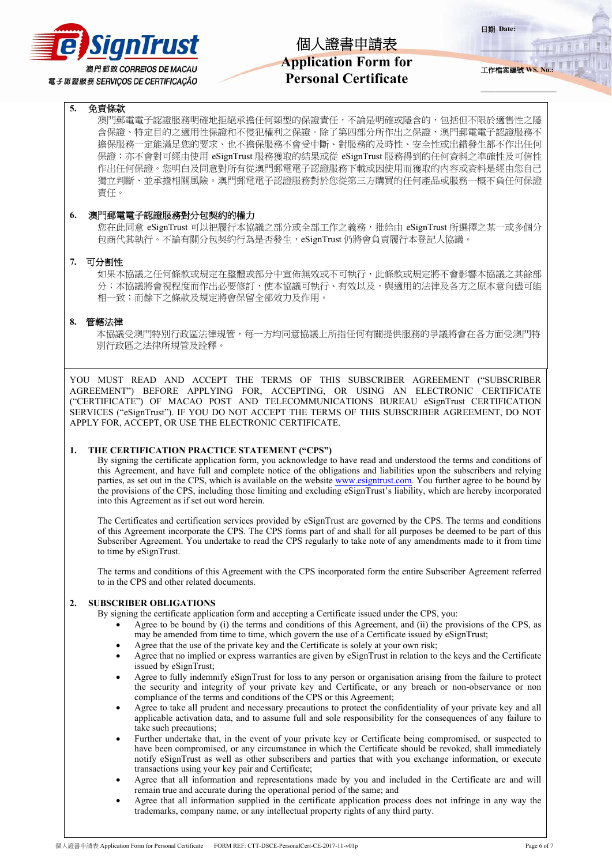

## **Application Form for Personal Certificate**

日期 **Date:** 

工作檔案編號 **WS. No.:**

**\_\_\_\_\_\_\_\_\_\_\_\_\_\_\_\_\_\_\_\_** 

**\_\_\_\_\_\_\_\_\_\_\_\_\_\_\_\_\_\_\_\_\_**

### **5.** 免責條款

澳門郵電電子認證服務明確地拒絕承擔任何類型的保證責任,不論是明確或隱含的,包括但不限於適售性之隱 含保證、特定目的之適用性保證和不侵犯權利之保證。除了第四部分所作出之保證,澳門郵電電子認證服務不 擔保服務一定能滿足您的要求、也不擔保服務不會受中斷、對服務的及時性、安全性或出錯發生都不作出任何 保證;亦不會對可經由使用 eSignTrust 服務獲取的結果或從 eSignTrust 服務得到的任何資料之準確性及可信性 作出任何保證。您明白及同意對所有從澳門郵電電子認證服務下載或因使用而獲取的內容或資料是經由您自己 獨立判斷、並承擔相關風險。澳門郵電電子認證服務對於您從第三方購買的任何產品或服務一概不負任何保證 責任。

### **6.** 澳門郵電電子認證服務對分包契約的權力

您在此同意 eSignTrust 可以把履行本協議之部分或全部工作之義務,批給由 eSignTrust 所選擇之某一或多個分 包商代其執行。不論有關分包契約行為是否發生,eSignTrust 仍將會負責履行本登記人協議。

### **7.** 可分割性

如果本協議之任何條款或規定在整體或部分中宣佈無效或不可執行,此條款或規定將不會影響本協議之其餘部 分;本協議將會視程度而作出必要修訂,使本協議可執行、有效以及,與適用的法律及各方之原本意向儘可能 相一致;而餘下之條款及規定將會保留全部效力及作用。

#### **8.** 管轄法律

本協議受澳門特別行政區法律規管,每一方均同意協議上所指任何有關提供服務的爭議將會在各方面受澳門特 別行政區之法律所規管及詮釋。

YOU MUST READ AND ACCEPT THE TERMS OF THIS SUBSCRIBER AGREEMENT ("SUBSCRIBER AGREEMENT") BEFORE APPLYING FOR, ACCEPTING, OR USING AN ELECTRONIC CERTIFICATE ("CERTIFICATE") OF MACAO POST AND TELECOMMUNICATIONS BUREAU eSignTrust CERTIFICATION SERVICES ("eSignTrust"). IF YOU DO NOT ACCEPT THE TERMS OF THIS SUBSCRIBER AGREEMENT, DO NOT APPLY FOR, ACCEPT, OR USE THE ELECTRONIC CERTIFICATE.

#### **1. THE CERTIFICATION PRACTICE STATEMENT ("CPS")**

By signing the certificate application form, you acknowledge to have read and understood the terms and conditions of this Agreement, and have full and complete notice of the obligations and liabilities upon the subscribers and relying parties, as set out in the CPS, which is available on the website www.esigntrust.com. You further agree to be bound by the provisions of the CPS, including those limiting and excluding eSignTrust's liability, which are hereby incorporated into this Agreement as if set out word herein.

The Certificates and certification services provided by eSignTrust are governed by the CPS. The terms and conditions of this Agreement incorporate the CPS. The CPS forms part of and shall for all purposes be deemed to be part of this Subscriber Agreement. You undertake to read the CPS regularly to take note of any amendments made to it from time to time by eSignTrust.

The terms and conditions of this Agreement with the CPS incorporated form the entire Subscriber Agreement referred to in the CPS and other related documents.

### **2. SUBSCRIBER OBLIGATIONS**

By signing the certificate application form and accepting a Certificate issued under the CPS, you:

- Agree to be bound by (i) the terms and conditions of this Agreement, and (ii) the provisions of the CPS, as may be amended from time to time, which govern the use of a Certificate issued by eSignTrust;
- Agree that the use of the private key and the Certificate is solely at your own risk;
- Agree that no implied or express warranties are given by eSignTrust in relation to the keys and the Certificate issued by eSignTrust;
- Agree to fully indemnify eSignTrust for loss to any person or organisation arising from the failure to protect the security and integrity of your private key and Certificate, or any breach or non-observance or non compliance of the terms and conditions of the CPS or this Agreement;
- Agree to take all prudent and necessary precautions to protect the confidentiality of your private key and all applicable activation data, and to assume full and sole responsibility for the consequences of any failure to take such precautions;
- Further undertake that, in the event of your private key or Certificate being compromised, or suspected to have been compromised, or any circumstance in which the Certificate should be revoked, shall immediately notify eSignTrust as well as other subscribers and parties that with you exchange information, or execute transactions using your key pair and Certificate;
- Agree that all information and representations made by you and included in the Certificate are and will remain true and accurate during the operational period of the same; and
- Agree that all information supplied in the certificate application process does not infringe in any way the trademarks, company name, or any intellectual property rights of any third party.